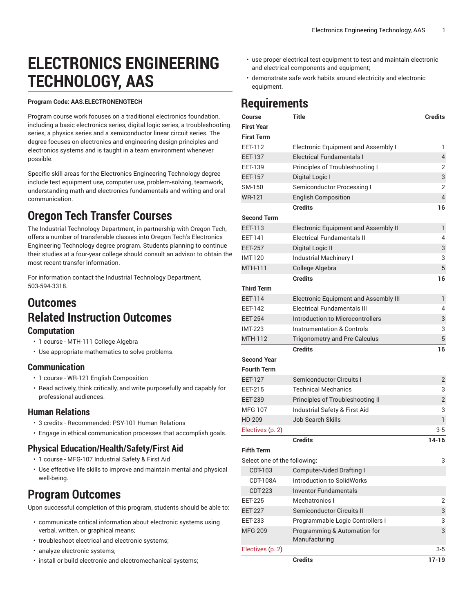# **ELECTRONICS ENGINEERING TECHNOLOGY, AAS**

#### **Program Code: AAS.ELECTRONENGTECH**

Program course work focuses on a traditional electronics foundation, including a basic electronics series, digital logic series, a troubleshooting series, a physics series and a semiconductor linear circuit series. The degree focuses on electronics and engineering design principles and electronics systems and is taught in a team environment whenever possible.

Specific skill areas for the Electronics Engineering Technology degree include test equipment use, computer use, problem-solving, teamwork, understanding math and electronics fundamentals and writing and oral communication.

# **Oregon Tech Transfer Courses**

The Industrial Technology Department, in partnership with Oregon Tech, offers a number of transferable classes into Oregon Tech's Electronics Engineering Technology degree program. Students planning to continue their studies at a four-year college should consult an advisor to obtain the most recent transfer information.

For information contact the Industrial Technology Department, 503-594-3318.

#### **Outcomes Related Instruction Outcomes Computation**

- 1 course MTH-111 College Algebra
- Use appropriate mathematics to solve problems.

#### **Communication**

- 1 course WR-121 English Composition
- Read actively, think critically, and write purposefully and capably for professional audiences.

#### **Human Relations**

- 3 credits Recommended: PSY-101 Human Relations
- Engage in ethical communication processes that accomplish goals.

#### **Physical Education/Health/Safety/First Aid**

- 1 course MFG-107 Industrial Safety & First Aid
- Use effective life skills to improve and maintain mental and physical well-being.

# **Program Outcomes**

Upon successful completion of this program, students should be able to:

- communicate critical information about electronic systems using verbal, written, or graphical means;
- troubleshoot electrical and electronic systems;
- analyze electronic systems;
- install or build electronic and electromechanical systems;
- use proper electrical test equipment to test and maintain electronic and electrical components and equipment;
- demonstrate safe work habits around electricity and electronic equipment.

# **Requirements**

| Course                       | <b>Title</b>                                  | <b>Credits</b>          |
|------------------------------|-----------------------------------------------|-------------------------|
| First Year                   |                                               |                         |
| First Term                   |                                               |                         |
| EET-112                      | Electronic Equipment and Assembly I           | 1                       |
| <b>EET-137</b>               | <b>Electrical Fundamentals I</b>              | $\overline{\mathbf{4}}$ |
| EET-139                      | Principles of Troubleshooting I               | 2                       |
| EET-157                      | Digital Logic I                               | 3                       |
| SM-150                       | Semiconductor Processing I                    | 2                       |
| WR-121                       | <b>English Composition</b>                    | $\overline{4}$          |
|                              | <b>Credits</b>                                | 16                      |
| <b>Second Term</b>           |                                               |                         |
| EET-113                      | Electronic Equipment and Assembly II          | 1                       |
| EET-141                      | <b>Electrical Fundamentals II</b>             | 4                       |
| <b>EET-257</b>               | Digital Logic II                              | 3                       |
| IMT-120                      | Industrial Machinery I                        | 3                       |
| MTH-111                      | College Algebra                               | 5                       |
|                              | <b>Credits</b>                                | 16                      |
| Third Term                   |                                               |                         |
| <b>EET-114</b>               | Electronic Equipment and Assembly III         | 1                       |
| EET-142                      | <b>Electrical Fundamentals III</b>            | 4                       |
| <b>EET-254</b>               | Introduction to Microcontrollers              | 3                       |
| <b>IMT-223</b>               | <b>Instrumentation &amp; Controls</b>         | 3                       |
| MTH-112                      | <b>Trigonometry and Pre-Calculus</b>          | 5                       |
|                              | <b>Credits</b>                                | 16                      |
| Second Year                  |                                               |                         |
| <b>Fourth Term</b>           |                                               |                         |
| EET-127                      | Semiconductor Circuits I                      | 2                       |
| EET-215                      | <b>Technical Mechanics</b>                    | 3                       |
| <b>EET-239</b>               | Principles of Troubleshooting II              | $\overline{2}$          |
| MFG-107                      | Industrial Safety & First Aid                 | 3                       |
| HD-209                       | <b>Job Search Skills</b>                      | $\mathbf{1}$            |
| Electives (p. 2)             |                                               | 3-5                     |
|                              | <b>Credits</b>                                | 14-16                   |
| Fifth Term                   |                                               |                         |
| Select one of the following: |                                               | 3                       |
| CDT-103                      | <b>Computer-Aided Drafting I</b>              |                         |
| <b>CDT-108A</b>              | Introduction to SolidWorks                    |                         |
| CDT-223                      | <b>Inventor Fundamentals</b>                  |                         |
| <b>EET-225</b>               | Mechatronics I                                | 2                       |
| <b>EET-227</b>               | Semiconductor Circuits II                     | 3                       |
| <b>EET-233</b>               | Programmable Logic Controllers I              | 3                       |
| MFG-209                      | Programming & Automation for<br>Manufacturing | 3                       |
| Electives (p. 2)             |                                               | 3-5                     |
|                              | <b>Credits</b>                                | $17 - 19$               |